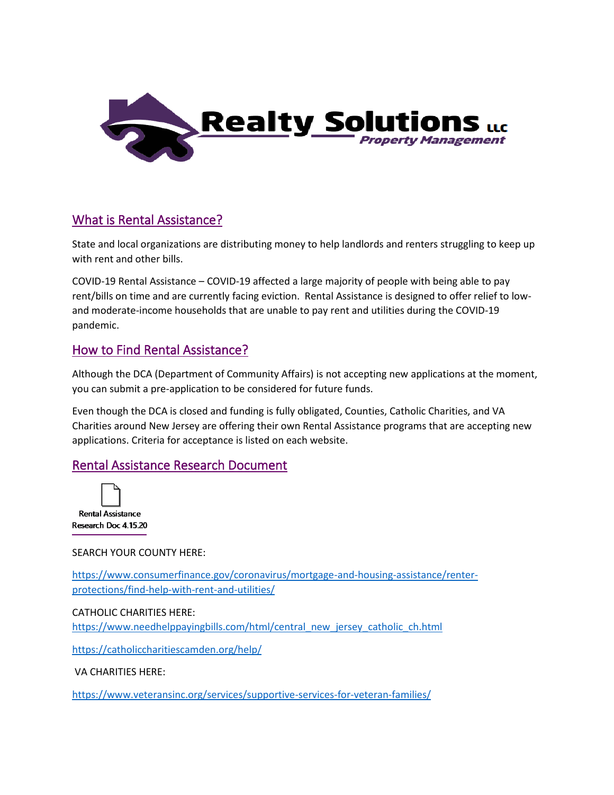

# What is Rental Assistance?

State and local organizations are distributing money to help landlords and renters struggling to keep up with rent and other bills.

COVID-19 Rental Assistance – COVID-19 affected a large majority of people with being able to pay rent/bills on time and are currently facing eviction. Rental Assistance is designed to offer relief to lowand moderate-income households that are unable to pay rent and utilities during the COVID-19 pandemic.

## How to Find Rental Assistance?

Although the DCA (Department of Community Affairs) is not accepting new applications at the moment, you can submit a pre-application to be considered for future funds.

Even though the DCA is closed and funding is fully obligated, Counties, Catholic Charities, and VA Charities around New Jersey are offering their own Rental Assistance programs that are accepting new applications. Criteria for acceptance is listed on each website.

## Rental Assistance Research Document



## SEARCH YOUR COUNTY HERE:

[https://www.consumerfinance.gov/coronavirus/mortgage-and-housing-assistance/renter](https://www.consumerfinance.gov/coronavirus/mortgage-and-housing-assistance/renter-protections/find-help-with-rent-and-utilities/)[protections/find-help-with-rent-and-utilities/](https://www.consumerfinance.gov/coronavirus/mortgage-and-housing-assistance/renter-protections/find-help-with-rent-and-utilities/) 

### CATHOLIC CHARITIES HERE:

[https://www.needhelppayingbills.com/html/central\\_new\\_jersey\\_catholic\\_ch.html](https://www.needhelppayingbills.com/html/central_new_jersey_catholic_ch.html)

<https://catholiccharitiescamden.org/help/>

VA CHARITIES HERE:

<https://www.veteransinc.org/services/supportive-services-for-veteran-families/>